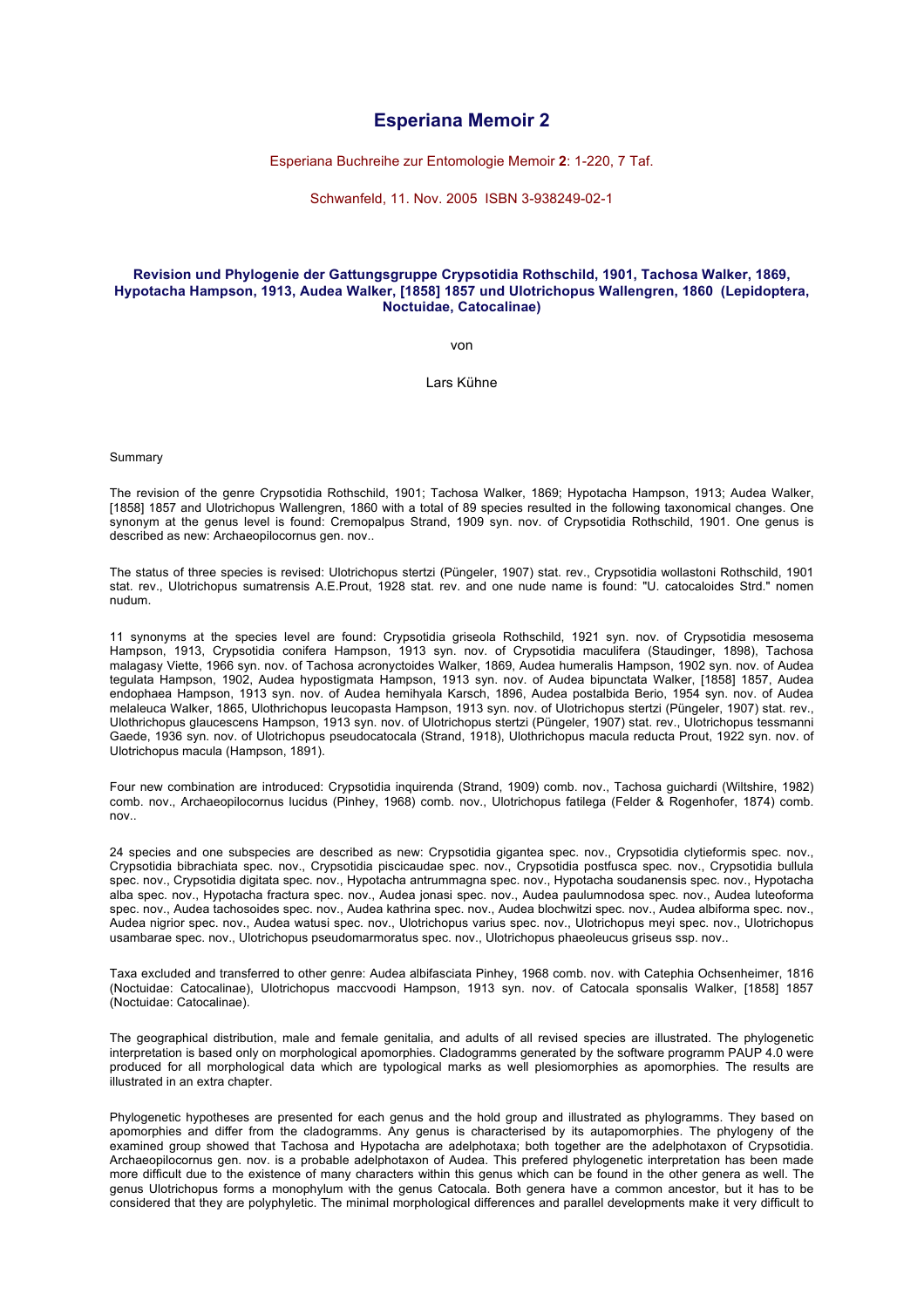## **Esperiana Memoir 2**

Esperiana Buchreihe zur Entomologie Memoir **2**: 1-220, 7 Taf.

Schwanfeld, 11. Nov. 2005 ISBN 3-938249-02-1

## **Revision und Phylogenie der Gattungsgruppe Crypsotidia Rothschild, 1901, Tachosa Walker, 1869, Hypotacha Hampson, 1913, Audea Walker, [1858] 1857 und Ulotrichopus Wallengren, 1860 (Lepidoptera, Noctuidae, Catocalinae)**

von

Lars Kühne

Summary

The revision of the genre Crypsotidia Rothschild, 1901; Tachosa Walker, 1869; Hypotacha Hampson, 1913; Audea Walker, [1858] 1857 and Ulotrichopus Wallengren, 1860 with a total of 89 species resulted in the following taxonomical changes. One synonym at the genus level is found: Cremopalpus Strand, 1909 syn. nov. of Crypsotidia Rothschild, 1901. One genus is described as new: Archaeopilocornus gen. nov..

The status of three species is revised: Ulotrichopus stertzi (Püngeler, 1907) stat. rev., Crypsotidia wollastoni Rothschild, 1901 stat. rev., Ulotrichopus sumatrensis A.E.Prout, 1928 stat. rev. and one nude name is found: "U. catocaloides Strd." nomen nudum.

11 synonyms at the species level are found: Crypsotidia griseola Rothschild, 1921 syn. nov. of Crypsotidia mesosema Hampson, 1913, Crypsotidia conifera Hampson, 1913 syn. nov. of Crypsotidia maculifera (Staudinger, 1898), Tachosa malagasy Viette, 1966 syn. nov. of Tachosa acronyctoides Walker, 1869, Audea humeralis Hampson, 1902 syn. nov. of Audea tegulata Hampson, 1902, Audea hypostigmata Hampson, 1913 syn. nov. of Audea bipunctata Walker, [1858] 1857, Audea endophaea Hampson, 1913 syn. nov. of Audea hemihyala Karsch, 1896, Audea postalbida Berio, 1954 syn. nov. of Audea melaleuca Walker, 1865, Ulothrichopus leucopasta Hampson, 1913 syn. nov. of Ulotrichopus stertzi (Püngeler, 1907) stat. rev., Ulothrichopus glaucescens Hampson, 1913 syn. nov. of Ulotrichopus stertzi (Püngeler, 1907) stat. rev., Ulotrichopus tessmanni Gaede, 1936 syn. nov. of Ulotrichopus pseudocatocala (Strand, 1918), Ulothrichopus macula reducta Prout, 1922 syn. nov. of Ulotrichopus macula (Hampson, 1891).

Four new combination are introduced: Crypsotidia inquirenda (Strand, 1909) comb. nov., Tachosa guichardi (Wiltshire, 1982) comb. nov., Archaeopilocornus lucidus (Pinhey, 1968) comb. nov., Ulotrichopus fatilega (Felder & Rogenhofer, 1874) comb. nov..

24 species and one subspecies are described as new: Crypsotidia gigantea spec. nov., Crypsotidia clytieformis spec. nov., Crypsotidia bibrachiata spec. nov., Crypsotidia piscicaudae spec. nov., Crypsotidia postfusca spec. nov., Crypsotidia bullula spec. nov., Crypsotidia digitata spec. nov., Hypotacha antrummagna spec. nov., Hypotacha soudanensis spec. nov., Hypotacha alba spec. nov., Hypotacha fractura spec. nov., Audea jonasi spec. nov., Audea paulumnodosa spec. nov., Audea luteoforma spec. nov., Audea tachosoides spec. nov., Audea kathrina spec. nov., Audea blochwitzi spec. nov., Audea albiforma spec. nov., Audea nigrior spec. nov., Audea watusi spec. nov., Ulotrichopus varius spec. nov., Ulotrichopus meyi spec. nov., Ulotrichopus usambarae spec. nov., Ulotrichopus pseudomarmoratus spec. nov., Ulotrichopus phaeoleucus griseus ssp. nov..

Taxa excluded and transferred to other genre: Audea albifasciata Pinhey, 1968 comb. nov. with Catephia Ochsenheimer, 1816 (Noctuidae: Catocalinae), Ulotrichopus maccvoodi Hampson, 1913 syn. nov. of Catocala sponsalis Walker, [1858] 1857 (Noctuidae: Catocalinae).

The geographical distribution, male and female genitalia, and adults of all revised species are illustrated. The phylogenetic interpretation is based only on morphological apomorphies. Cladogramms generated by the software programm PAUP 4.0 were produced for all morphological data which are typological marks as well plesiomorphies as apomorphies. The results are illustrated in an extra chapter.

Phylogenetic hypotheses are presented for each genus and the hold group and illustrated as phylogramms. They based on apomorphies and differ from the cladogramms. Any genus is characterised by its autapomorphies. The phylogeny of the examined group showed that Tachosa and Hypotacha are adelphotaxa; both together are the adelphotaxon of Crypsotidia. Archaeopilocornus gen. nov. is a probable adelphotaxon of Audea. This prefered phylogenetic interpretation has been made more difficult due to the existence of many characters within this genus which can be found in the other genera as well. The genus Ulotrichopus forms a monophylum with the genus Catocala. Both genera have a common ancestor, but it has to be considered that they are polyphyletic. The minimal morphological differences and parallel developments make it very difficult to